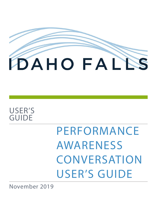

# USER'S GUIDE

PERFORMANCE AWARENESS **CONVERSATION** USER'S GUIDE

November 2019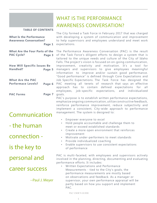# WHAT IS THE PERFORMANCE AWARENESS CONVERSATION?

#### **TABLE OF CONTENTS**

| <b>What Is the Performance</b><br><b>Awareness Consersation?</b> | Page 1 |
|------------------------------------------------------------------|--------|
| <b>What Are the Four Parts of the</b><br><b>PAC Cycle?</b>       | Page 3 |
| <b>How Will Specific Issues Be</b><br>Handled?                   | Page 5 |
| <b>What Are the PAC</b><br><b>Performace Levels?</b>             | Page 6 |
| <b>PAC Forms</b>                                                 | Page 7 |

# Communication

- the human

connection -

is the key to

personal and

## career success

--Paul J. Meyer

The City formed a Task Force in February 2017 that was charged with developing a system of communication and improvement to help supervisors and employees understand and meet work expectations.

The Performance Awareness Conversation (PAC) is the result of the Task Force's diligent efforts to design a system that is tailored to the unique needs and culture of the City of Idaho Falls. The project's vision is focused on on-going communication, improvement, creativity and motivation. It's a tool for managers and supervisors to give employees meaningful information to improve and/or sustain good performance. "Good performance" is defined through Core Expectations and Job Specific Expectations. The Task Force has designed the PAC meeting all tenets of research that says an effective approach has to contain defined expectations for employees, job-specific expectations, and individualized goals.

PAC's purpose is to establish written performance expectations, emphasize ongoing communication, utilize constructive feedback, reinforce performance improvement, reduce subjectivity and implement a consistent, City-wide approach to performance management. The system is designed to:

- Empower everyone to excel
- Hold people accountable and challenge them to meet or exceed established standards
- Create a more open environment that reinforces improvement
- Motivate under-performers to meet standards
- Provide individualized coaching
- Enable supervisors to use consistent expectations of performance

PAC is multi-faceted, with employees and supervisors actively involved in the planning, directing, documenting and evaluating performance efforts. It includes:

• Written Expectations and Performance Measurements - tied to the City's goals, the performance measurements are mostly based on observations and feedback. As a manager or supervisor, your own performance appraisal will be partly based on how you support and implement PAC.

#### PAC USER'S GUIDE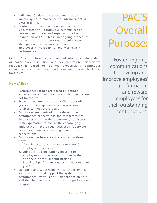- Individual Goals job-related and include improving performance, career advancement or cross-training.
- Continuous Communication, Feedback and Documentation – continuous communication between employees and supervisors is the foundation of PAC. This is an ongoing process of communication and performance enhancement. Managers and supervisors will meet with employees at least semi-annually to review performance.

PAC is first and foremost a communications tool dependent on consistency, discussion, and documentation. Performance feedback is based on defined expectations, continuous communication, feedback, and documentation, NOT on favoritism.

#### REMEMBER...

- Performance ratings are based on defined expectations, communication and documentation, not favoritism
- Expectations are linked to the City's operating goals and the employee's role in providing services to meet those goals
- Employees are involved in the development of performance expectations and measurements. Employees will have the opportunity to discuss each expectation to ensure they thoroughly understand it, and discuss with their supervisor possibly adding to or revising some of the expectations
- Employees' performance is evaluated in three ways:
	- 1. Core Expectations that apply to every City employee in every job
	- 2. Job-specific expectations focusing on employee's unique responsibilities in their job and their individual contributions
	- 3. Individual performance goals (at least two per year)
- Managers and supervisors will set the example, lead the effort, and support the system. Their performance review is partly dependent on how well they implement and support the performance program

# PAC'S **Overall** Purpose:

Foster ongoing communications to develop and improve employees' performance and reward employees for their outstanding contributions.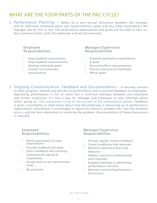## WHAT ARE THE FOUR PARTS OF THE PAC CYCLE?

1. Performance Planning – Refers to a semi-annual discussion between the manager and an individual employee about job responsibilities, goals and any other expectations the manager has for him or her. The performance expectations and goals are focused on face-toface communication, with the employee and are documented.

#### Employee Responsibilities

- Help establish expectations
- Help establish measurements
- Develop individual goals
- Commit to continuous improvement

#### Manager/Supervisor Responsibilities

- Establish and define expectations & goals
- Review & affirm measurements
- Discuss resources & challenges
- Affirm goals
- 2. Ongoing Communication, Feedback and Documentation A two-way process to track progress, identify any barriers to performance, and to provide feedback to employees. Appraising performance is not an event but a continual dialogue between and employee and his/her supervisor. It's also a way for manager and employee to stay informed about what's going on. This component is key to the success of the performance system. Feedback is given consistently in small doses about how the employee is measuring up to performance expectations. Information is exchanged to figure out where a problem lies, why the problem occurs, and the best alternative to resolving the problem. Documentation of these discussions is required.

#### Employee Responsibilities

- Work consistently to meet expectations
- Provide feedback and ideas
- Solicit feedback and coaching
- Communicate openly & respectfully
- Accept and act on improvement areas
- Be informed

#### Manager/Supervisor Responsibilities

- Provide regular, honest feedback
- Create conditions that motivate
- Reinforce desired actions and behavior
- Address concerns professionally and creatively
- Engage employee in addressing performance concerns
- Maintain record of performance discussions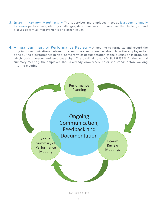- 3. Interim Review Meetings The supervisor and employee meet at least semi-annually to review performance, identify challenges, determine ways to overcome the challenges, and discuss potential improvements and other issues.
- 4. Annual Summary of Performance Review A meeting to formalize and record the ongoing communications between the employee and manager about how the employee has done during a performance period. Some form of documentation of the discussion is produced which both manager and employee sign. The cardinal rule: NO SURPRISES! At the annual summary meeting, the employee should already know where he or she stands before walking into the meeting.



PAC USER'S GUIDE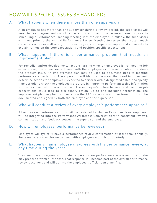## HOW WILL SPECIFIC ISSUES BE HANDLED?

#### A. What happens when there is more than one supervisor?

If an employee has more than one supervisor during a review period, the supervisors will meet to reach agreement on job expectations and performance measurements prior to scheduling a Performance Planning meeting with the employee. Similarly, the supervisors will meet prior to the Annual Performance Review Meeting to review their notes, reach consensus on an overall rating for the employee, and prepare examples and comments to explain ratings on the core expectations and position specific expectations.

#### B. What happens if there is a performance problem that needs an improvement plan?

For remedial and/or developmental actions, arising when an employee is not meeting job expectations, the supervisor will meet with the employee as soon as possible to address the problem issue. An improvement plan may be used to document steps to meeting performance expectations. The supervisor will identify the areas that need improvement, determine actions the employee is expected to perform within designated dates, and specify time periods to check the employee's progress in improving performance; this information will be documented in an action plan. The employee's failure to meet and maintain job expectations could lead to disciplinary action, up to and including termination. The improvement plan may be documented on the PAC forms or in another form, but it will be documented and signed by both the employee and the supervisor.

#### C. Who will conduct a review of every employee's performance appraisal?

All employees' performance forms will be reviewed by Human Resources. New employees will be integrated into the Performance Awareness Conversation with consistent reviews, communication and feedback between the supervisor and the employee.

#### D. How will employees' performance be reviewed?

Employees will typically have a performance review conversation at least semi-annually. Some managers may choose to meet with employees monthly or quarterly.

#### E. What happens if an employee disagrees with his performance review, at any time during the year?

If an employee disagrees with his/her supervisor on performance assessment, he or she may prepare a written response. That response will become part of the overall performance review document and will go into the employee's official personnel file.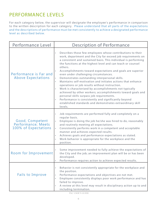# PERFORMANCE LEVELS

For each category below, the supervisor will designate the employee's performance in comparison to the written description for each category. Please understand that all parts of the expectations and the descriptions of performance must be met consistently to achieve a designated performance level as described below.

| Performance Level                                             | <b>Description of Performance</b>                                                                                                                                                                                                                                                                                                                                                                                                                                                                                                                                                                                                                                                                                                                                                                                                                                      |
|---------------------------------------------------------------|------------------------------------------------------------------------------------------------------------------------------------------------------------------------------------------------------------------------------------------------------------------------------------------------------------------------------------------------------------------------------------------------------------------------------------------------------------------------------------------------------------------------------------------------------------------------------------------------------------------------------------------------------------------------------------------------------------------------------------------------------------------------------------------------------------------------------------------------------------------------|
| Performance is Far and<br><b>Above Expectations</b>           | Describes those few employees whose contributions to their<br>work, department and the City far exceed job requirements on<br>a consistent and sustained basis. This individual is performing<br>the functions at the highest level and can teach or counsel<br>others.<br>Accomplishments toward expectations and goals are superior<br>even under challenging circumstances.<br>Demonstrates outstanding interpersonal skills.<br>Maintains self-motivation and initiates actions that enhance<br>$\bullet$<br>operations or job results without instruction.<br>Work is characterized by accomplishments not typically<br>achieved by other workers; accomplishments toward goals and<br>personal skills surpass job requirements.<br>Performance is consistently and significantly beyond<br>established standards and demonstrates extraordinary skill<br>levels. |
| Good, Competent<br>Performance; Meets<br>100% of Expectations | Job requirements are performed fully and completely on a<br>regular basis.<br>Employee is doing the job he/she was hired to do, reasonably<br>and routinely meeting all expectations.<br>Consistently performs work in a competent and acceptable<br>$\bullet$<br>manner and achieves expected results.<br>Achieves goals and performance expectations as stated.<br>Work behavior is appropriate for the workplace and the<br>position.                                                                                                                                                                                                                                                                                                                                                                                                                               |
| Room for Improvement                                          | Some improvement needed to fully achieve the expectations of<br>the City and the job; an improvement plan will be or has been<br>developed.<br>Performance requires action to achieve expected results.                                                                                                                                                                                                                                                                                                                                                                                                                                                                                                                                                                                                                                                                |
| <b>Fails to Improve</b>                                       | Behavior is not consistently appropriate for the workplace and<br>$\bullet$<br>the position.<br>Performance expectations and objectives are not met.<br>Employee consistently displays poor work performance and has<br>$\bullet$<br>failed to improve.<br>A review at this level may result in disciplinary action up to and<br>including termination.                                                                                                                                                                                                                                                                                                                                                                                                                                                                                                                |

PAC USER'S GUIDE